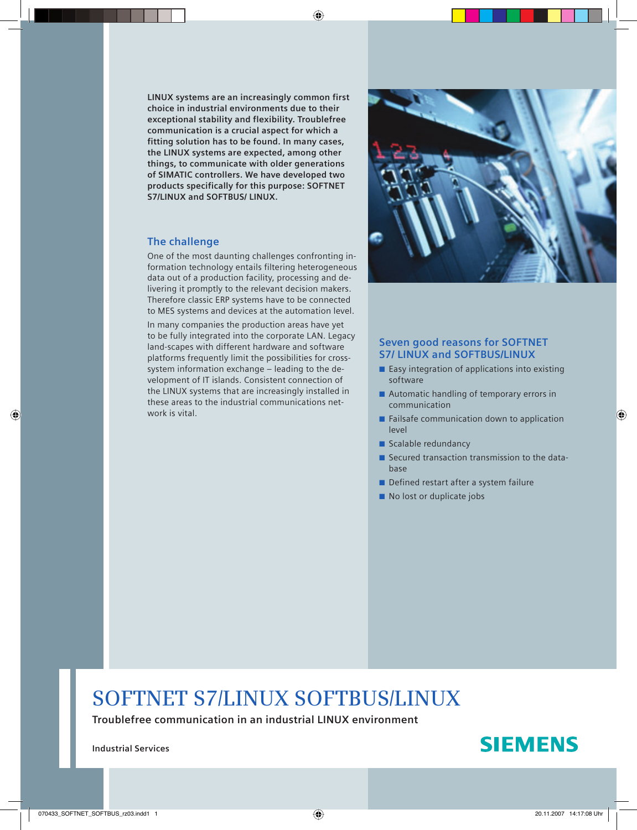**LINUX systems are an increasingly common first choice in industrial environments due to their exceptional stability and flexibility. Troublefree communication is a crucial aspect for which a fitting solution has to be found. In many cases, the LINUX systems are expected, among other things, to communicate with older generations of SIMATIC controllers. We have developed two products specifically for this purpose: SOFTNET S7/LINUX and SOFTBUS/ LINUX.**

## **The challenge**

One of the most daunting challenges confronting information technology entails filtering heterogeneous data out of a production facility, processing and delivering it promptly to the relevant decision makers. Therefore classic ERP systems have to be connected to MES systems and devices at the automation level.

In many companies the production areas have yet to be fully integrated into the corporate LAN. Legacy land-scapes with different hardware and software platforms frequently limit the possibilities for crosssystem information exchange – leading to the development of IT islands. Consistent connection of the LINUX systems that are increasingly installed in these areas to the industrial communications network is vital.



## **Seven good reasons for SOFTNET S7/ LINUX and SOFTBUS/LINUX**

- $\blacksquare$  Easy integration of applications into existing software
- $\blacksquare$  Automatic handling of temporary errors in communication
- $\blacksquare$  Failsafe communication down to application level
- **Scalable redundancy**
- $\blacksquare$  Secured transaction transmission to the database
- Defined restart after a system failure
- No lost or duplicate jobs

# **SOFTNET S7/LINUX SOFTBUS/LINUX**

**Troublefree communication in an industrial LINUX environment**

**Industrial Services**

# **SIEMENS**